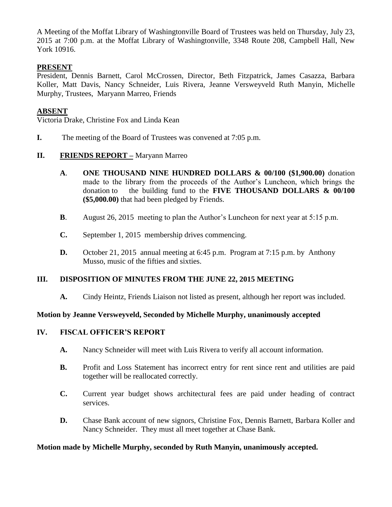A Meeting of the Moffat Library of Washingtonville Board of Trustees was held on Thursday, July 23, 2015 at 7:00 p.m. at the Moffat Library of Washingtonville, 3348 Route 208, Campbell Hall, New York 10916.

## **PRESENT**

President, Dennis Barnett, Carol McCrossen, Director, Beth Fitzpatrick, James Casazza, Barbara Koller, Matt Davis, Nancy Schneider, Luis Rivera, Jeanne Versweyveld Ruth Manyin, Michelle Murphy, Trustees, Maryann Marreo, Friends

# **ABSENT**

Victoria Drake, Christine Fox and Linda Kean

**I.** The meeting of the Board of Trustees was convened at 7:05 p.m.

## **II. FRIENDS REPORT** – Maryann Marreo

- **A**. **ONE THOUSAND NINE HUNDRED DOLLARS & 00/100 (\$1,900.00)** donation made to the library from the proceeds of the Author's Luncheon, which brings the donation to the building fund to the **FIVE THOUSAND DOLLARS & 00/100 (\$5,000.00)** that had been pledged by Friends.
- **B**. August 26, 2015 meeting to plan the Author's Luncheon for next year at 5:15 p.m.
- **C.** September 1, 2015 membership drives commencing.
- **D.** October 21, 2015 annual meeting at 6:45 p.m. Program at 7:15 p.m. by Anthony Musso, music of the fifties and sixties.

## **III. DISPOSITION OF MINUTES FROM THE JUNE 22, 2015 MEETING**

**A.** Cindy Heintz, Friends Liaison not listed as present, although her report was included.

## **Motion by Jeanne Versweyveld, Seconded by Michelle Murphy, unanimously accepted**

### **IV. FISCAL OFFICER'S REPORT**

- **A.** Nancy Schneider will meet with Luis Rivera to verify all account information.
- **B.** Profit and Loss Statement has incorrect entry for rent since rent and utilities are paid together will be reallocated correctly.
- **C.** Current year budget shows architectural fees are paid under heading of contract services.
- **D.** Chase Bank account of new signors, Christine Fox, Dennis Barnett, Barbara Koller and Nancy Schneider. They must all meet together at Chase Bank.

#### **Motion made by Michelle Murphy, seconded by Ruth Manyin, unanimously accepted.**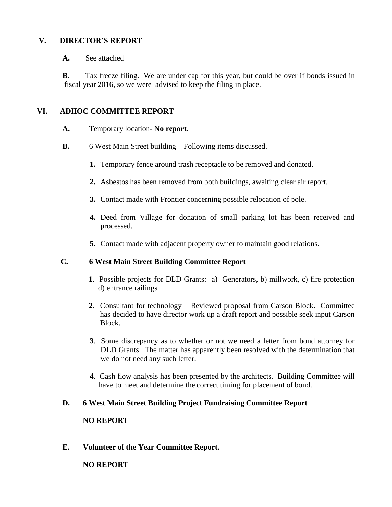### **V. DIRECTOR'S REPORT**

### **A.** See attached

**B.** Tax freeze filing. We are under cap for this year, but could be over if bonds issued in fiscal year 2016, so we were advised to keep the filing in place.

## **VI. ADHOC COMMITTEE REPORT**

- **A.** Temporary location- **No report**.
- **B.** 6 West Main Street building Following items discussed.
	- **1.** Temporary fence around trash receptacle to be removed and donated.
	- **2.** Asbestos has been removed from both buildings, awaiting clear air report.
	- **3.** Contact made with Frontier concerning possible relocation of pole.
	- **4.** Deed from Village for donation of small parking lot has been received and processed.
	- **5.** Contact made with adjacent property owner to maintain good relations.

## **C. 6 West Main Street Building Committee Report**

- **1**. Possible projects for DLD Grants: a) Generators, b) millwork, c) fire protection d) entrance railings
- **2.** Consultant for technology Reviewed proposal from Carson Block. Committee has decided to have director work up a draft report and possible seek input Carson Block.
- **3**. Some discrepancy as to whether or not we need a letter from bond attorney for DLD Grants. The matter has apparently been resolved with the determination that we do not need any such letter.
- **4**. Cash flow analysis has been presented by the architects. Building Committee will have to meet and determine the correct timing for placement of bond.

## **D. 6 West Main Street Building Project Fundraising Committee Report**

### **NO REPORT**

**E. Volunteer of the Year Committee Report.**

## **NO REPORT**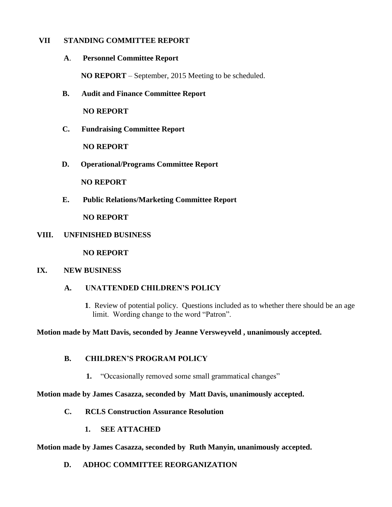### **VII STANDING COMMITTEE REPORT**

**A**. **Personnel Committee Report** 

 **NO REPORT** – September, 2015 Meeting to be scheduled.

**B. Audit and Finance Committee Report**

**NO REPORT**

**C. Fundraising Committee Report**

**NO REPORT**

**D. Operational/Programs Committee Report**

 **NO REPORT**

**E. Public Relations/Marketing Committee Report**

**NO REPORT**

#### **VIII. UNFINISHED BUSINESS**

**NO REPORT**

#### **IX. NEW BUSINESS**

#### **A. UNATTENDED CHILDREN'S POLICY**

**1**. Review of potential policy. Questions included as to whether there should be an age limit. Wording change to the word "Patron".

**Motion made by Matt Davis, seconded by Jeanne Versweyveld , unanimously accepted.**

## **B. CHILDREN'S PROGRAM POLICY**

**1.** "Occasionally removed some small grammatical changes"

#### **Motion made by James Casazza, seconded by Matt Davis, unanimously accepted.**

- **C. RCLS Construction Assurance Resolution**
	- **1. SEE ATTACHED**

#### **Motion made by James Casazza, seconded by Ruth Manyin, unanimously accepted.**

**D. ADHOC COMMITTEE REORGANIZATION**